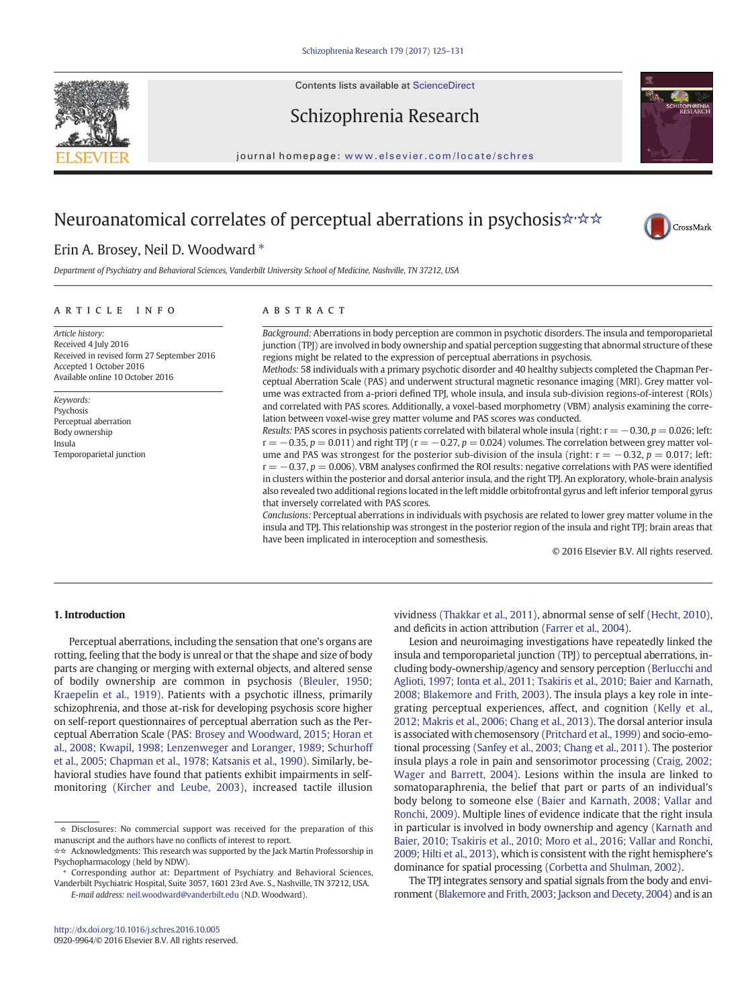Contents lists available at ScienceDirect



Schizophrenia Research



journal homepage: <www.elsevier.com/locate/schres>

# Neuroanatomical correlates of perceptual aberrations in psychosis☆☆☆



## Erin A. Brosey, Neil D. Woodward  $*$

Department of Psychiatry and Behavioral Sciences, Vanderbilt University School of Medicine, Nashville, TN 37212, USA

#### article info abstract

Article history: Received 4 July 2016 Received in revised form 27 September 2016 Accepted 1 October 2016 Available online 10 October 2016

Keywords: Psychosis Perceptual aberration Body ownership Insula Temporoparietal junction

Background: Aberrations in body perception are common in psychotic disorders. The insula and temporoparietal junction (TPJ) are involved in body ownership and spatial perception suggesting that abnormal structure of these regions might be related to the expression of perceptual aberrations in psychosis.

Methods: 58 individuals with a primary psychotic disorder and 40 healthy subjects completed the Chapman Perceptual Aberration Scale (PAS) and underwent structural magnetic resonance imaging (MRI). Grey matter volume was extracted from a-priori defined TPJ, whole insula, and insula sub-division regions-of-interest (ROIs) and correlated with PAS scores. Additionally, a voxel-based morphometry (VBM) analysis examining the correlation between voxel-wise grey matter volume and PAS scores was conducted.

Results: PAS scores in psychosis patients correlated with bilateral whole insula (right:  $r = -0.30$ ,  $p = 0.026$ ; left:  $r = -0.35$ ,  $p = 0.011$ ) and right TPJ ( $r = -0.27$ ,  $p = 0.024$ ) volumes. The correlation between grey matter volume and PAS was strongest for the posterior sub-division of the insula (right:  $r = -0.32$ ,  $p = 0.017$ ; left:  $r = -0.37$ ,  $p = 0.006$ ). VBM analyses confirmed the ROI results: negative correlations with PAS were identified in clusters within the posterior and dorsal anterior insula, and the right TPJ. An exploratory, whole-brain analysis also revealed two additional regions located in the left middle orbitofrontal gyrus and left inferior temporal gyrus that inversely correlated with PAS scores.

Conclusions: Perceptual aberrations in individuals with psychosis are related to lower grey matter volume in the insula and TPJ. This relationship was strongest in the posterior region of the insula and right TPJ; brain areas that have been implicated in interoception and somesthesis.

© 2016 Elsevier B.V. All rights reserved.

#### 1. Introduction

Perceptual aberrations, including the sensation that one's organs are rotting, feeling that the body is unreal or that the shape and size of body parts are changing or merging with external objects, and altered sense of bodily ownership are common in psychosis [\(Bleuler, 1950;](#page-5-0) [Kraepelin et al., 1919\)](#page-5-0). Patients with a psychotic illness, primarily schizophrenia, and those at-risk for developing psychosis score higher on self-report questionnaires of perceptual aberration such as the Perceptual Aberration Scale (PAS: [Brosey and Woodward, 2015; Horan et](#page-5-0) [al., 2008; Kwapil, 1998; Lenzenweger and Loranger, 1989; Schurhoff](#page-5-0) [et al., 2005; Chapman et al., 1978; Katsanis et al., 1990](#page-5-0)). Similarly, behavioral studies have found that patients exhibit impairments in selfmonitoring [\(Kircher and Leube, 2003](#page-6-0)), increased tactile illusion

☆☆ Acknowledgments: This research was supported by the Jack Martin Professorship in Psychopharmacology (held by NDW).

Corresponding author at: Department of Psychiatry and Behavioral Sciences, Vanderbilt Psychiatric Hospital, Suite 3057, 1601 23rd Ave. S., Nashville, TN 37212, USA. E-mail address: [neil.woodward@vanderbilt.edu](mailto:neil.woodward@vanderbilt.edu) (N.D. Woodward).

vividness ([Thakkar et al., 2011\)](#page-6-0), abnormal sense of self [\(Hecht, 2010](#page-5-0)), and deficits in action attribution [\(Farrer et al., 2004](#page-5-0)).

Lesion and neuroimaging investigations have repeatedly linked the insula and temporoparietal junction (TPJ) to perceptual aberrations, including body-ownership/agency and sensory perception ([Berlucchi and](#page-5-0) [Aglioti, 1997; Ionta et al., 2011; Tsakiris et al., 2010; Baier and Karnath,](#page-5-0) [2008; Blakemore and Frith, 2003](#page-5-0)). The insula plays a key role in integrating perceptual experiences, affect, and cognition [\(Kelly et al.,](#page-6-0) [2012; Makris et al., 2006; Chang et al., 2013](#page-6-0)). The dorsal anterior insula is associated with chemosensory [\(Pritchard et al., 1999\)](#page-6-0) and socio-emotional processing [\(Sanfey et al., 2003; Chang et al., 2011](#page-6-0)). The posterior insula plays a role in pain and sensorimotor processing ([Craig, 2002;](#page-5-0) [Wager and Barrett, 2004\)](#page-5-0). Lesions within the insula are linked to somatoparaphrenia, the belief that part or parts of an individual's body belong to someone else ([Baier and Karnath, 2008; Vallar and](#page-5-0) [Ronchi, 2009](#page-5-0)). Multiple lines of evidence indicate that the right insula in particular is involved in body ownership and agency ([Karnath and](#page-6-0) [Baier, 2010; Tsakiris et al., 2010; Moro et al., 2016; Vallar and Ronchi,](#page-6-0) [2009; Hilti et al., 2013\)](#page-6-0), which is consistent with the right hemisphere's dominance for spatial processing ([Corbetta and Shulman, 2002\)](#page-5-0).

The TPJ integrates sensory and spatial signals from the body and environment ([Blakemore and Frith, 2003; Jackson and Decety, 2004](#page-5-0)) and is an

<sup>☆</sup> Disclosures: No commercial support was received for the preparation of this manuscript and the authors have no conflicts of interest to report.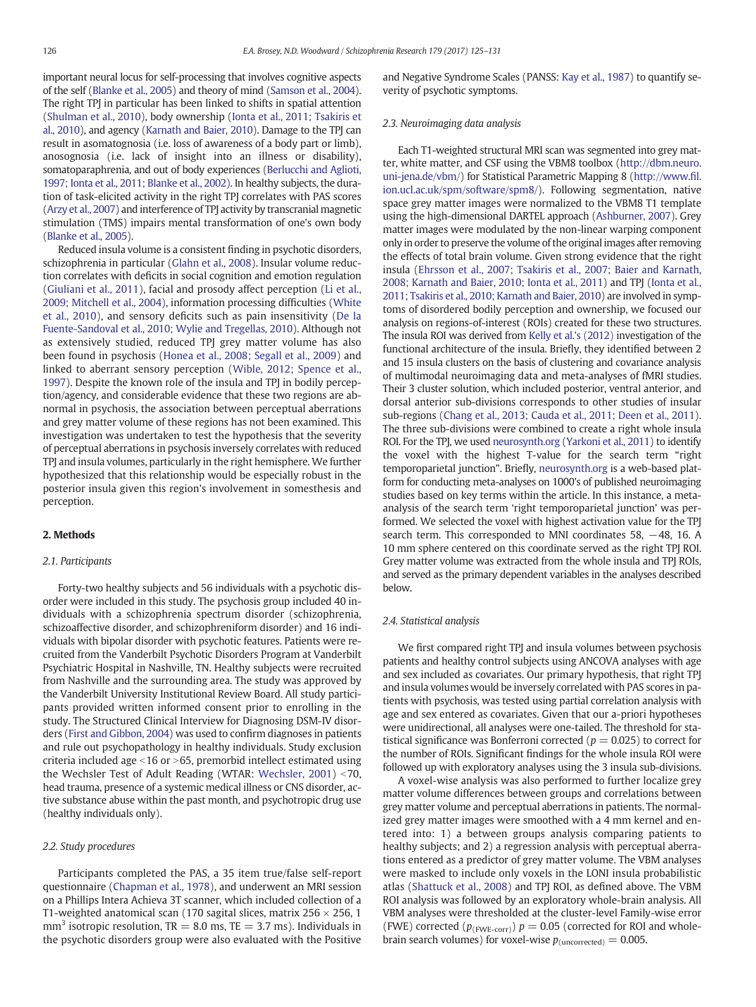important neural locus for self-processing that involves cognitive aspects of the self [\(Blanke et al., 2005\)](#page-5-0) and theory of mind [\(Samson et al., 2004\)](#page-6-0). The right TPJ in particular has been linked to shifts in spatial attention [\(Shulman et al., 2010\)](#page-6-0), body ownership ([Ionta et al., 2011; Tsakiris et](#page-6-0) [al., 2010\)](#page-6-0), and agency [\(Karnath and Baier, 2010](#page-6-0)). Damage to the TPJ can result in asomatognosia (i.e. loss of awareness of a body part or limb), anosognosia (i.e. lack of insight into an illness or disability), somatoparaphrenia, and out of body experiences [\(Berlucchi and Aglioti,](#page-5-0) [1997; Ionta et al., 2011; Blanke et al., 2002](#page-5-0)). In healthy subjects, the duration of task-elicited activity in the right TPJ correlates with PAS scores [\(Arzy et al., 2007\)](#page-5-0) and interference of TPJ activity by transcranial magnetic stimulation (TMS) impairs mental transformation of one's own body [\(Blanke et al., 2005](#page-5-0)).

Reduced insula volume is a consistent finding in psychotic disorders, schizophrenia in particular [\(Glahn et al., 2008](#page-5-0)). Insular volume reduction correlates with deficits in social cognition and emotion regulation [\(Giuliani et al., 2011](#page-5-0)), facial and prosody affect perception [\(Li et al.,](#page-6-0) [2009; Mitchell et al., 2004](#page-6-0)), information processing difficulties ([White](#page-6-0) [et al., 2010](#page-6-0)), and sensory deficits such as pain insensitivity [\(De la](#page-5-0) [Fuente-Sandoval et al., 2010; Wylie and Tregellas, 2010\)](#page-5-0). Although not as extensively studied, reduced TPJ grey matter volume has also been found in psychosis ([Honea et al., 2008; Segall et al., 2009](#page-6-0)) and linked to aberrant sensory perception ([Wible, 2012; Spence et al.,](#page-6-0) [1997\)](#page-6-0). Despite the known role of the insula and TPJ in bodily perception/agency, and considerable evidence that these two regions are abnormal in psychosis, the association between perceptual aberrations and grey matter volume of these regions has not been examined. This investigation was undertaken to test the hypothesis that the severity of perceptual aberrations in psychosis inversely correlates with reduced TPJ and insula volumes, particularly in the right hemisphere. We further hypothesized that this relationship would be especially robust in the posterior insula given this region's involvement in somesthesis and perception.

### 2. Methods

#### 2.1. Participants

Forty-two healthy subjects and 56 individuals with a psychotic disorder were included in this study. The psychosis group included 40 individuals with a schizophrenia spectrum disorder (schizophrenia, schizoaffective disorder, and schizophreniform disorder) and 16 individuals with bipolar disorder with psychotic features. Patients were recruited from the Vanderbilt Psychotic Disorders Program at Vanderbilt Psychiatric Hospital in Nashville, TN. Healthy subjects were recruited from Nashville and the surrounding area. The study was approved by the Vanderbilt University Institutional Review Board. All study participants provided written informed consent prior to enrolling in the study. The Structured Clinical Interview for Diagnosing DSM-IV disorders [\(First and Gibbon, 2004](#page-5-0)) was used to confirm diagnoses in patients and rule out psychopathology in healthy individuals. Study exclusion criteria included age  $\leq$ 16 or  $\geq$ 65, premorbid intellect estimated using the Wechsler Test of Adult Reading (WTAR: Wechsler,  $2001$ ) <70, head trauma, presence of a systemic medical illness or CNS disorder, active substance abuse within the past month, and psychotropic drug use (healthy individuals only).

#### 2.2. Study procedures

Participants completed the PAS, a 35 item true/false self-report questionnaire [\(Chapman et al., 1978](#page-5-0)), and underwent an MRI session on a Phillips Intera Achieva 3T scanner, which included collection of a T1-weighted anatomical scan (170 sagital slices, matrix  $256 \times 256$ , 1  $mm<sup>3</sup>$  isotropic resolution, TR = 8.0 ms, TE = 3.7 ms). Individuals in the psychotic disorders group were also evaluated with the Positive and Negative Syndrome Scales (PANSS: [Kay et al., 1987](#page-6-0)) to quantify severity of psychotic symptoms.

#### 2.3. Neuroimaging data analysis

Each T1-weighted structural MRI scan was segmented into grey matter, white matter, and CSF using the VBM8 toolbox ([http://dbm.neuro.](http://dbm.neuro.uni-jena.de/vbm/) [uni-jena.de/vbm/](http://dbm.neuro.uni-jena.de/vbm/)) for Statistical Parametric Mapping 8 ([http://www.](http://www.fil.ion.ucl.ac.uk/spm/software/spm8/)fil. [ion.ucl.ac.uk/spm/software/spm8/\)](http://www.fil.ion.ucl.ac.uk/spm/software/spm8/). Following segmentation, native space grey matter images were normalized to the VBM8 T1 template using the high-dimensional DARTEL approach ([Ashburner, 2007\)](#page-5-0). Grey matter images were modulated by the non-linear warping component only in order to preserve the volume of the original images after removing the effects of total brain volume. Given strong evidence that the right insula ([Ehrsson et al., 2007; Tsakiris et al., 2007; Baier and Karnath,](#page-5-0) [2008; Karnath and Baier, 2010; Ionta et al., 2011](#page-5-0)) and TPJ [\(Ionta et al.,](#page-6-0) [2011; Tsakiris et al., 2010; Karnath and Baier, 2010](#page-6-0)) are involved in symptoms of disordered bodily perception and ownership, we focused our analysis on regions-of-interest (ROIs) created for these two structures. The insula ROI was derived from [Kelly et al.'s \(2012\)](#page-6-0) investigation of the functional architecture of the insula. Briefly, they identified between 2 and 15 insula clusters on the basis of clustering and covariance analysis of multimodal neuroimaging data and meta-analyses of fMRI studies. Their 3 cluster solution, which included posterior, ventral anterior, and dorsal anterior sub-divisions corresponds to other studies of insular sub-regions ([Chang et al., 2013; Cauda et al., 2011; Deen et al., 2011](#page-5-0)). The three sub-divisions were combined to create a right whole insula ROI. For the TPJ, we used [neurosynth.org](http://neurosynth.org) [\(Yarkoni et al., 2011](#page-6-0)) to identify the voxel with the highest T-value for the search term "right temporoparietal junction". Briefly, [neurosynth.org](http://neurosynth.org) is a web-based platform for conducting meta-analyses on 1000's of published neuroimaging studies based on key terms within the article. In this instance, a metaanalysis of the search term 'right temporoparietal junction' was performed. We selected the voxel with highest activation value for the TPJ search term. This corresponded to MNI coordinates 58, −48, 16. A 10 mm sphere centered on this coordinate served as the right TPJ ROI. Grey matter volume was extracted from the whole insula and TPJ ROIs, and served as the primary dependent variables in the analyses described below.

#### 2.4. Statistical analysis

We first compared right TPJ and insula volumes between psychosis patients and healthy control subjects using ANCOVA analyses with age and sex included as covariates. Our primary hypothesis, that right TPJ and insula volumes would be inversely correlated with PAS scores in patients with psychosis, was tested using partial correlation analysis with age and sex entered as covariates. Given that our a-priori hypotheses were unidirectional, all analyses were one-tailed. The threshold for statistical significance was Bonferroni corrected ( $p = 0.025$ ) to correct for the number of ROIs. Significant findings for the whole insula ROI were followed up with exploratory analyses using the 3 insula sub-divisions.

A voxel-wise analysis was also performed to further localize grey matter volume differences between groups and correlations between grey matter volume and perceptual aberrations in patients. The normalized grey matter images were smoothed with a 4 mm kernel and entered into: 1) a between groups analysis comparing patients to healthy subjects; and 2) a regression analysis with perceptual aberrations entered as a predictor of grey matter volume. The VBM analyses were masked to include only voxels in the LONI insula probabilistic atlas ([Shattuck et al., 2008\)](#page-6-0) and TPJ ROI, as defined above. The VBM ROI analysis was followed by an exploratory whole-brain analysis. All VBM analyses were thresholded at the cluster-level Family-wise error (FWE) corrected ( $p_{\text{(FWE-corr)}}$ )  $p = 0.05$  (corrected for ROI and wholebrain search volumes) for voxel-wise  $p_{(uncorrected)} = 0.005$ .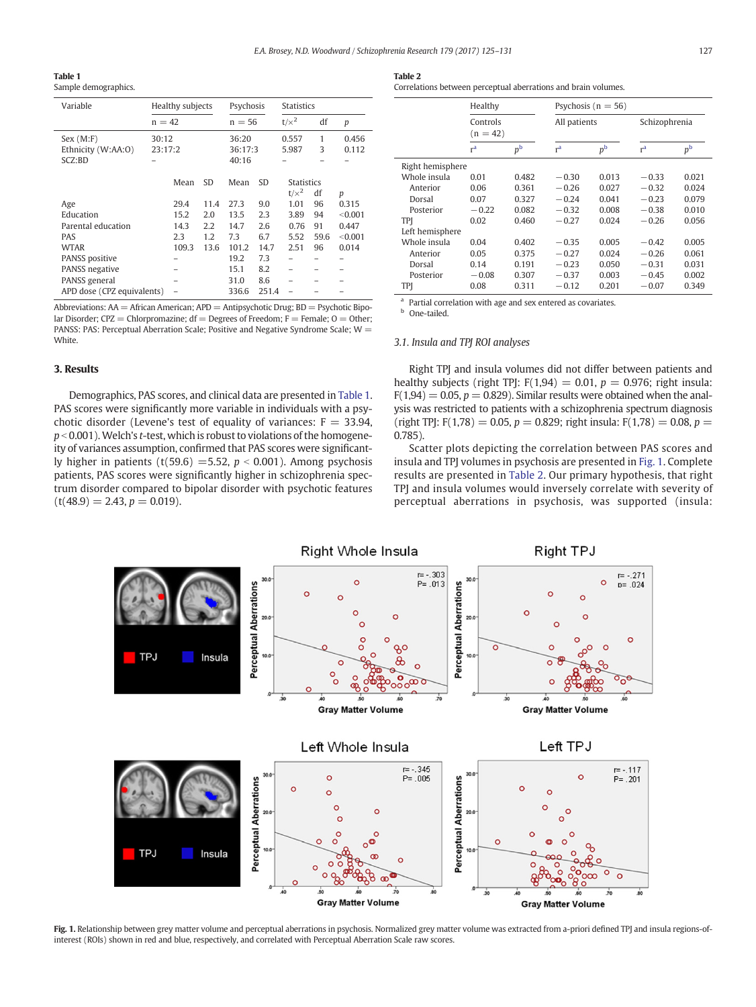<span id="page-2-0"></span>Table 1

Sample demographics.

| Variable                   | Healthy subjects |      | Psychosis                 |       | <b>Statistics</b> |                   |         |
|----------------------------|------------------|------|---------------------------|-------|-------------------|-------------------|---------|
|                            | $n = 42$         |      | $n = 56$                  |       | $t/x^2$           | df                | р       |
| Sex (M: F)                 | 30:12<br>23:17:2 |      | 36:20<br>36:17:3<br>40:16 |       | 0.557             | 1                 | 0.456   |
| Ethnicity (W:AA:O)         |                  |      |                           |       | 5.987             | 3                 | 0.112   |
| SCZ:BD                     |                  |      |                           |       |                   |                   |         |
|                            |                  |      | Mean<br><b>SD</b>         |       |                   |                   |         |
|                            | Mean             | SD.  |                           |       |                   | <b>Statistics</b> |         |
|                            |                  |      |                           |       | $t/x^2$           | df                | p       |
| Age                        | 29.4             | 11.4 | 27.3                      | 9.0   | 1.01              | 96                | 0.315   |
| Education                  | 15.2             | 2.0  | 13.5                      | 2.3   | 3.89              | 94                | < 0.001 |
| Parental education         | 14.3             | 2.2  | 14.7                      | 2.6   | 0.76              | 91                | 0.447   |
| <b>PAS</b>                 | 2.3              | 1.2  | 7.3                       | 6.7   | 5.52              | 59.6              | < 0.001 |
| WTAR                       | 109.3            | 13.6 | 101.2                     | 14.7  | 2.51              | 96                | 0.014   |
| <b>PANSS</b> positive      |                  |      | 19.2                      | 7.3   |                   |                   |         |
| <b>PANSS</b> negative      |                  |      | 15.1                      | 8.2   |                   |                   |         |
| PANSS general              |                  |      | 31.0                      | 8.6   |                   |                   |         |
| APD dose (CPZ equivalents) |                  |      | 336.6                     | 251.4 |                   |                   |         |

Abbreviations:  $AA =$  African American;  $APD =$  Antipsychotic Drug;  $BD =$  Psychotic Bipolar Disorder; CPZ = Chlorpromazine; df = Degrees of Freedom; F = Female;  $0 =$  Other; PANSS: PAS: Perceptual Aberration Scale; Positive and Negative Syndrome Scale; W = **White** 

#### 3. Results

Demographics, PAS scores, and clinical data are presented in Table 1. PAS scores were significantly more variable in individuals with a psychotic disorder (Levene's test of equality of variances:  $F = 33.94$ ,  $p < 0.001$ ). Welch's t-test, which is robust to violations of the homogeneity of variances assumption, confirmed that PAS scores were significantly higher in patients (t(59.6) = 5.52,  $p < 0.001$ ). Among psychosis patients, PAS scores were significantly higher in schizophrenia spectrum disorder compared to bipolar disorder with psychotic features  $(t(48.9) = 2.43, p = 0.019).$ 

Correlations between perceptual aberrations and brain volumes.

|                  | Healthy<br>Controls<br>$(n = 42)$ |             | Psychosis ( $n = 56$ ) |             |                |             |  |
|------------------|-----------------------------------|-------------|------------------------|-------------|----------------|-------------|--|
|                  |                                   |             | All patients           |             | Schizophrenia  |             |  |
|                  | r <sup>a</sup>                    | $p^{\rm b}$ | r <sup>a</sup>         | $p^{\rm b}$ | r <sup>a</sup> | $p^{\rm b}$ |  |
| Right hemisphere |                                   |             |                        |             |                |             |  |
| Whole insula     | 0.01                              | 0.482       | $-0.30$                | 0.013       | $-0.33$        | 0.021       |  |
| Anterior         | 0.06                              | 0.361       | $-0.26$                | 0.027       | $-0.32$        | 0.024       |  |
| Dorsal           | 0.07                              | 0.327       | $-0.24$                | 0.041       | $-0.23$        | 0.079       |  |
| Posterior        | $-0.22$                           | 0.082       | $-0.32$                | 0.008       | $-0.38$        | 0.010       |  |
| TPI              | 0.02                              | 0.460       | $-0.27$                | 0.024       | $-0.26$        | 0.056       |  |
| Left hemisphere  |                                   |             |                        |             |                |             |  |
| Whole insula     | 0.04                              | 0.402       | $-0.35$                | 0.005       | $-0.42$        | 0.005       |  |
| Anterior         | 0.05                              | 0.375       | $-0.27$                | 0.024       | $-0.26$        | 0.061       |  |
| Dorsal           | 0.14                              | 0.191       | $-0.23$                | 0.050       | $-0.31$        | 0.031       |  |
| Posterior        | $-0.08$                           | 0.307       | $-0.37$                | 0.003       | $-0.45$        | 0.002       |  |
| TPI              | 0.08                              | 0.311       | $-0.12$                | 0.201       | $-0.07$        | 0.349       |  |

<sup>a</sup> Partial correlation with age and sex entered as covariates.

**b** One-tailed.

#### 3.1. Insula and TPJ ROI analyses

Right TPJ and insula volumes did not differ between patients and healthy subjects (right TPJ:  $F(1,94) = 0.01$ ,  $p = 0.976$ ; right insula:  $F(1,94) = 0.05$ ,  $p = 0.829$ ). Similar results were obtained when the analysis was restricted to patients with a schizophrenia spectrum diagnosis (right TPJ: F(1,78) = 0.05,  $p = 0.829$ ; right insula: F(1,78) = 0.08,  $p =$ 0.785).

Scatter plots depicting the correlation between PAS scores and insula and TPJ volumes in psychosis are presented in Fig. 1. Complete results are presented in Table 2. Our primary hypothesis, that right TPJ and insula volumes would inversely correlate with severity of perceptual aberrations in psychosis, was supported (insula:



Fig. 1. Relationship between grey matter volume and perceptual aberrations in psychosis. Normalized grey matter volume was extracted from a-priori defined TPJ and insula regions-ofinterest (ROIs) shown in red and blue, respectively, and correlated with Perceptual Aberration Scale raw scores.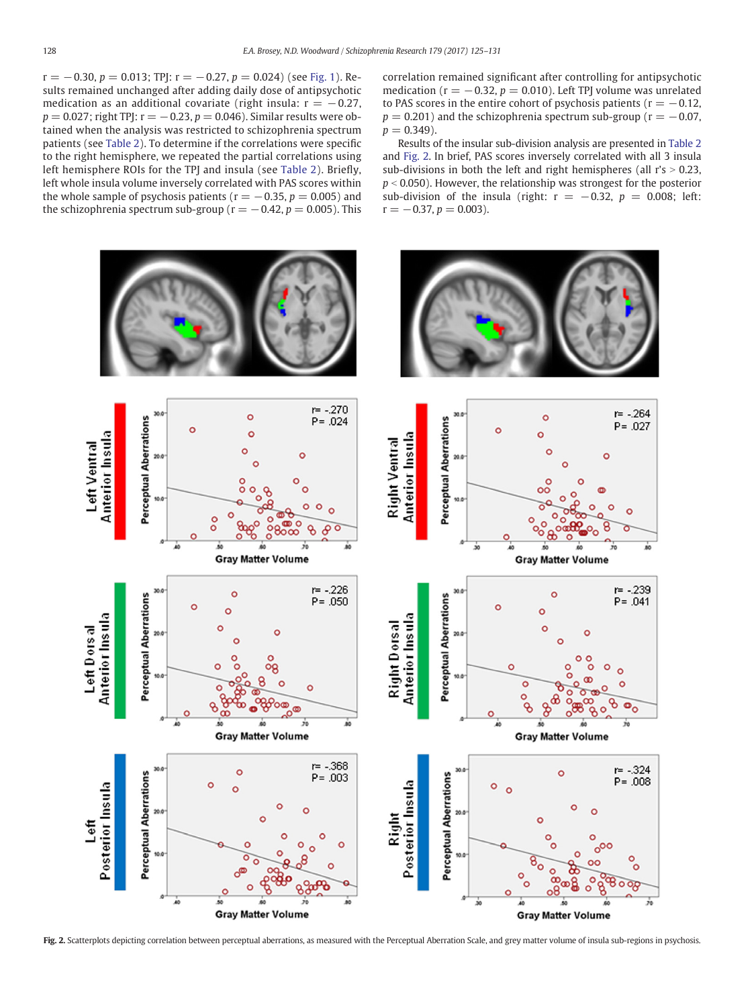$r = -0.30, p = 0.013$ ; TPJ:  $r = -0.27, p = 0.024$ ) (see [Fig. 1](#page-2-0)). Results remained unchanged after adding daily dose of antipsychotic medication as an additional covariate (right insula:  $r = -0.27$ ,  $p = 0.027$ ; right TPJ:  $r = -0.23$ ,  $p = 0.046$ ). Similar results were obtained when the analysis was restricted to schizophrenia spectrum patients (see [Table 2](#page-2-0)). To determine if the correlations were specific to the right hemisphere, we repeated the partial correlations using left hemisphere ROIs for the TPJ and insula (see [Table 2\)](#page-2-0). Briefly, left whole insula volume inversely correlated with PAS scores within the whole sample of psychosis patients ( $r = -0.35$ ,  $p = 0.005$ ) and the schizophrenia spectrum sub-group ( $r = -0.42$ ,  $p = 0.005$ ). This

correlation remained significant after controlling for antipsychotic medication ( $r = -0.32$ ,  $p = 0.010$ ). Left TPJ volume was unrelated to PAS scores in the entire cohort of psychosis patients ( $r = -0.12$ ,  $p = 0.201$ ) and the schizophrenia spectrum sub-group ( $r = -0.07$ ,  $p = 0.349$ ).

Results of the insular sub-division analysis are presented in [Table 2](#page-2-0) and Fig. 2. In brief, PAS scores inversely correlated with all 3 insula sub-divisions in both the left and right hemispheres (all  $r's > 0.23$ ,  $p < 0.050$ ). However, the relationship was strongest for the posterior sub-division of the insula (right:  $r = -0.32$ ,  $p = 0.008$ ; left:  $r = -0.37, p = 0.003$ ).



Fig. 2. Scatterplots depicting correlation between perceptual aberrations, as measured with the Perceptual Aberration Scale, and grey matter volume of insula sub-regions in psychosis.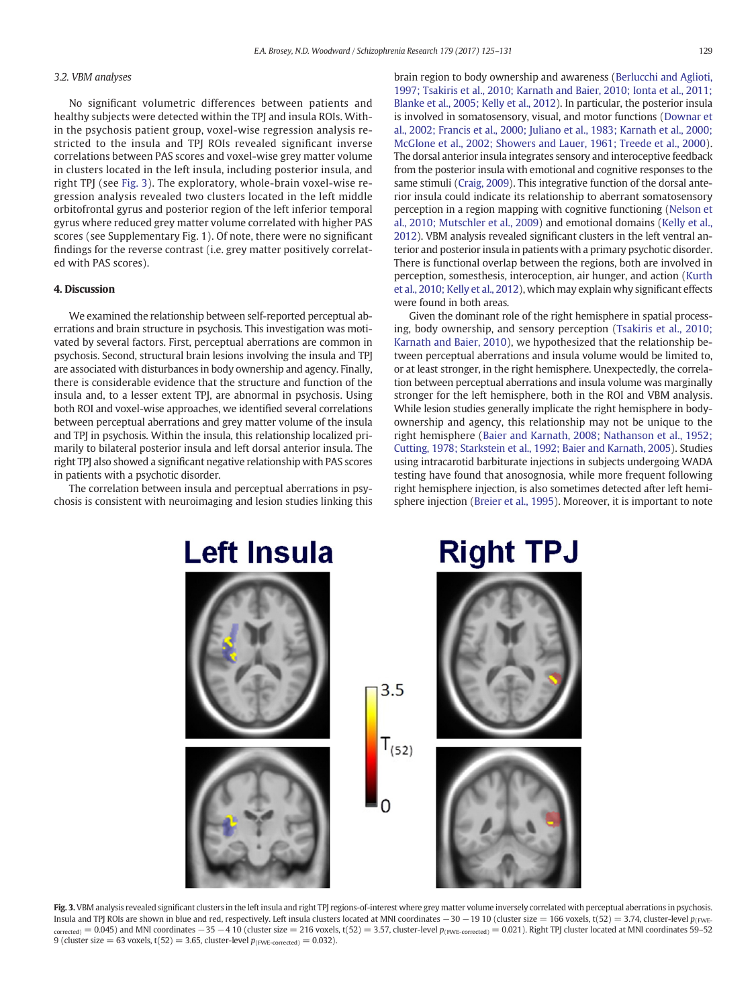### 3.2. VBM analyses

No significant volumetric differences between patients and healthy subjects were detected within the TPJ and insula ROIs. Within the psychosis patient group, voxel-wise regression analysis restricted to the insula and TPJ ROIs revealed significant inverse correlations between PAS scores and voxel-wise grey matter volume in clusters located in the left insula, including posterior insula, and right TPJ (see Fig. 3). The exploratory, whole-brain voxel-wise regression analysis revealed two clusters located in the left middle orbitofrontal gyrus and posterior region of the left inferior temporal gyrus where reduced grey matter volume correlated with higher PAS scores (see Supplementary Fig. 1). Of note, there were no significant findings for the reverse contrast (i.e. grey matter positively correlated with PAS scores).

#### 4. Discussion

We examined the relationship between self-reported perceptual aberrations and brain structure in psychosis. This investigation was motivated by several factors. First, perceptual aberrations are common in psychosis. Second, structural brain lesions involving the insula and TPJ are associated with disturbances in body ownership and agency. Finally, there is considerable evidence that the structure and function of the insula and, to a lesser extent TPJ, are abnormal in psychosis. Using both ROI and voxel-wise approaches, we identified several correlations between perceptual aberrations and grey matter volume of the insula and TPJ in psychosis. Within the insula, this relationship localized primarily to bilateral posterior insula and left dorsal anterior insula. The right TPJ also showed a significant negative relationship with PAS scores in patients with a psychotic disorder.

The correlation between insula and perceptual aberrations in psychosis is consistent with neuroimaging and lesion studies linking this brain region to body ownership and awareness [\(Berlucchi and Aglioti,](#page-5-0) [1997; Tsakiris et al., 2010; Karnath and Baier, 2010; Ionta et al., 2011;](#page-5-0) [Blanke et al., 2005; Kelly et al., 2012](#page-5-0)). In particular, the posterior insula is involved in somatosensory, visual, and motor functions ([Downar et](#page-5-0) [al., 2002; Francis et al., 2000; Juliano et al., 1983; Karnath et al., 2000;](#page-5-0) [McGlone et al., 2002; Showers and Lauer, 1961; Treede et al., 2000](#page-5-0)). The dorsal anterior insula integrates sensory and interoceptive feedback from the posterior insula with emotional and cognitive responses to the same stimuli [\(Craig, 2009\)](#page-5-0). This integrative function of the dorsal anterior insula could indicate its relationship to aberrant somatosensory perception in a region mapping with cognitive functioning ([Nelson et](#page-6-0) [al., 2010; Mutschler et al., 2009](#page-6-0)) and emotional domains ([Kelly et al.,](#page-6-0) [2012](#page-6-0)). VBM analysis revealed significant clusters in the left ventral anterior and posterior insula in patients with a primary psychotic disorder. There is functional overlap between the regions, both are involved in perception, somesthesis, interoception, air hunger, and action ([Kurth](#page-6-0) [et al., 2010; Kelly et al., 2012\)](#page-6-0), which may explain why significant effects were found in both areas.

Given the dominant role of the right hemisphere in spatial processing, body ownership, and sensory perception [\(Tsakiris et al., 2010;](#page-6-0) [Karnath and Baier, 2010](#page-6-0)), we hypothesized that the relationship between perceptual aberrations and insula volume would be limited to, or at least stronger, in the right hemisphere. Unexpectedly, the correlation between perceptual aberrations and insula volume was marginally stronger for the left hemisphere, both in the ROI and VBM analysis. While lesion studies generally implicate the right hemisphere in bodyownership and agency, this relationship may not be unique to the right hemisphere ([Baier and Karnath, 2008; Nathanson et al., 1952;](#page-5-0) [Cutting, 1978; Starkstein et al., 1992; Baier and Karnath, 2005\)](#page-5-0). Studies using intracarotid barbiturate injections in subjects undergoing WADA testing have found that anosognosia, while more frequent following right hemisphere injection, is also sometimes detected after left hemisphere injection ([Breier et al., 1995](#page-5-0)). Moreover, it is important to note



Fig. 3. VBM analysis revealed significant clusters in the left insula and right TPJ regions-of-interest where grey matter volume inversely correlated with perceptual aberrations in psychosis. Insula and TPJ ROIs are shown in blue and red, respectively. Left insula clusters located at MNI coordinates  $-30 - 19$  10 (cluster size = 166 voxels, t(52) = 3.74, cluster-level  $p_{\text{fWPE}}$  $\frac{1}{\text{corrected}}$  = 0.045) and MNI coordinates  $-35 - 4$  10 (cluster size = 216 voxels, t(52) = 3.57, cluster-level  $p_{\text{fFWE-corrected}}$  = 0.021). Right TPJ cluster located at MNI coordinates 59–52 9 (cluster size  $= 63$  voxels, t(52) = 3.65, cluster-level  $p_{(\text{FWE-corrected})} = 0.032$ ).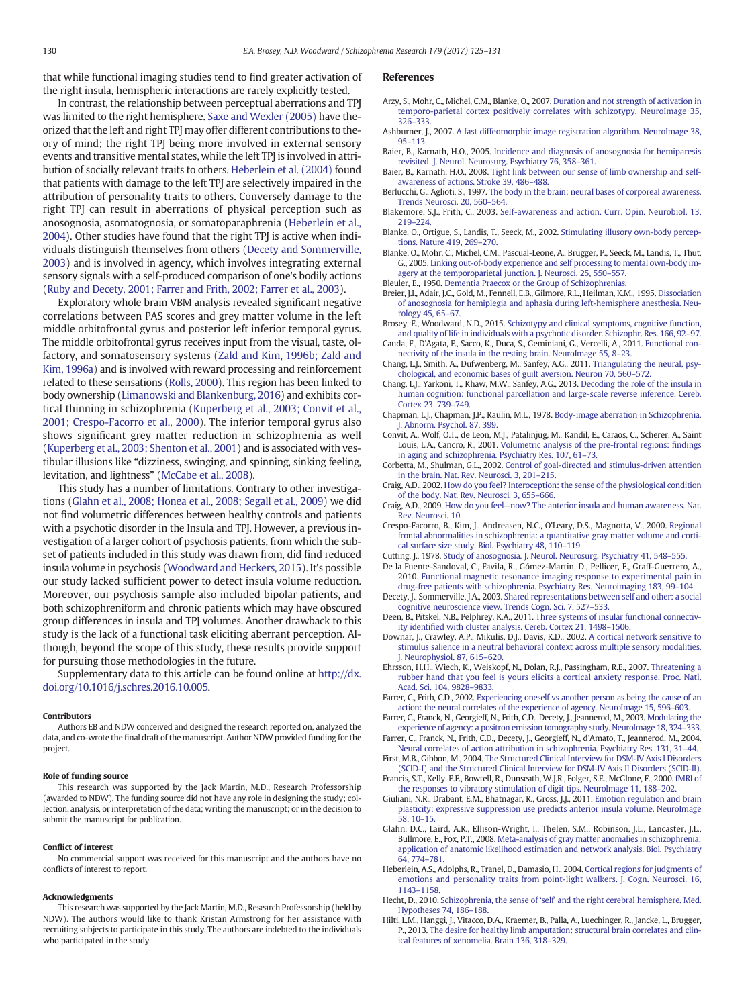<span id="page-5-0"></span>that while functional imaging studies tend to find greater activation of the right insula, hemispheric interactions are rarely explicitly tested.

In contrast, the relationship between perceptual aberrations and TPJ was limited to the right hemisphere. [Saxe and Wexler \(2005\)](#page-6-0) have theorized that the left and right TPJ may offer different contributions to theory of mind; the right TPJ being more involved in external sensory events and transitive mental states, while the left TPJ is involved in attribution of socially relevant traits to others. Heberlein et al. (2004) found that patients with damage to the left TPJ are selectively impaired in the attribution of personality traits to others. Conversely damage to the right TPJ can result in aberrations of physical perception such as anosognosia, asomatognosia, or somatoparaphrenia (Heberlein et al., 2004). Other studies have found that the right TPJ is active when individuals distinguish themselves from others (Decety and Sommerville, 2003) and is involved in agency, which involves integrating external sensory signals with a self-produced comparison of one's bodily actions [\(Ruby and Decety, 2001; Farrer and Frith, 2002; Farrer et al., 2003\)](#page-6-0).

Exploratory whole brain VBM analysis revealed significant negative correlations between PAS scores and grey matter volume in the left middle orbitofrontal gyrus and posterior left inferior temporal gyrus. The middle orbitofrontal gyrus receives input from the visual, taste, olfactory, and somatosensory systems ([Zald and Kim, 1996b; Zald and](#page-6-0) [Kim, 1996a\)](#page-6-0) and is involved with reward processing and reinforcement related to these sensations [\(Rolls, 2000\)](#page-6-0). This region has been linked to body ownership ([Limanowski and Blankenburg, 2016\)](#page-6-0) and exhibits cortical thinning in schizophrenia [\(Kuperberg et al., 2003; Convit et al.,](#page-6-0) [2001; Crespo-Facorro et al., 2000](#page-6-0)). The inferior temporal gyrus also shows significant grey matter reduction in schizophrenia as well [\(Kuperberg et al., 2003; Shenton et al., 2001\)](#page-6-0) and is associated with vestibular illusions like "dizziness, swinging, and spinning, sinking feeling, levitation, and lightness" [\(McCabe et al., 2008\)](#page-6-0).

This study has a number of limitations. Contrary to other investigations (Glahn et al., 2008; Honea et al., 2008; Segall et al., 2009) we did not find volumetric differences between healthy controls and patients with a psychotic disorder in the Insula and TPJ. However, a previous investigation of a larger cohort of psychosis patients, from which the subset of patients included in this study was drawn from, did find reduced insula volume in psychosis [\(Woodward and Heckers, 2015\)](#page-6-0). It's possible our study lacked sufficient power to detect insula volume reduction. Moreover, our psychosis sample also included bipolar patients, and both schizophreniform and chronic patients which may have obscured group differences in insula and TPJ volumes. Another drawback to this study is the lack of a functional task eliciting aberrant perception. Although, beyond the scope of this study, these results provide support for pursuing those methodologies in the future.

Supplementary data to this article can be found online at [http://dx.](doi:10.1016/j.schres.2016.10.005) [doi.org/10.1016/j.schres.2016.10.005.](doi:10.1016/j.schres.2016.10.005)

#### Contributors

Authors EB and NDW conceived and designed the research reported on, analyzed the data, and co-wrote the final draft of the manuscript. Author NDW provided funding for the project.

#### Role of funding source

This research was supported by the Jack Martin, M.D., Research Professorship (awarded to NDW). The funding source did not have any role in designing the study; collection, analysis, or interpretation of the data; writing the manuscript; or in the decision to submit the manuscript for publication.

#### Conflict of interest

No commercial support was received for this manuscript and the authors have no conflicts of interest to report.

#### Acknowledgments

This research was supported by the Jack Martin, M.D., Research Professorship (held by NDW). The authors would like to thank Kristan Armstrong for her assistance with recruiting subjects to participate in this study. The authors are indebted to the individuals who participated in the study.

#### References

- Arzy, S., Mohr, C., Michel, C.M., Blanke, O., 2007. [Duration and not strength of activation in](http://refhub.elsevier.com/S0920-9964(16)30450-9/rf0005) [temporo-parietal cortex positively correlates with schizotypy. NeuroImage 35,](http://refhub.elsevier.com/S0920-9964(16)30450-9/rf0005) 326–[333.](http://refhub.elsevier.com/S0920-9964(16)30450-9/rf0005)
- Ashburner, J., 2007. [A fast diffeomorphic image registration algorithm. NeuroImage 38,](http://refhub.elsevier.com/S0920-9964(16)30450-9/rf0010) 95–[113](http://refhub.elsevier.com/S0920-9964(16)30450-9/rf0010).
- Baier, B., Karnath, H.O., 2005. [Incidence and diagnosis of anosognosia for hemiparesis](http://refhub.elsevier.com/S0920-9964(16)30450-9/rf0015) [revisited. J. Neurol. Neurosurg. Psychiatry 76, 358](http://refhub.elsevier.com/S0920-9964(16)30450-9/rf0015)–361.
- Baier, B., Karnath, H.O., 2008. [Tight link between our sense of limb ownership and self](http://refhub.elsevier.com/S0920-9964(16)30450-9/rf0020)[awareness of actions. Stroke 39, 486](http://refhub.elsevier.com/S0920-9964(16)30450-9/rf0020)–488.
- Berlucchi, G., Aglioti, S., 1997. [The body in the brain: neural bases of corporeal awareness.](http://refhub.elsevier.com/S0920-9964(16)30450-9/rf0025) [Trends Neurosci. 20, 560](http://refhub.elsevier.com/S0920-9964(16)30450-9/rf0025)–564.
- Blakemore, S.J., Frith, C., 2003. [Self-awareness and action. Curr. Opin. Neurobiol. 13,](http://refhub.elsevier.com/S0920-9964(16)30450-9/rf0030) 219–[224.](http://refhub.elsevier.com/S0920-9964(16)30450-9/rf0030)
- Blanke, O., Ortigue, S., Landis, T., Seeck, M., 2002. [Stimulating illusory own-body percep](http://refhub.elsevier.com/S0920-9964(16)30450-9/rf0035)[tions. Nature 419, 269](http://refhub.elsevier.com/S0920-9964(16)30450-9/rf0035)–270.
- Blanke, O., Mohr, C., Michel, C.M., Pascual-Leone, A., Brugger, P., Seeck, M., Landis, T., Thut, G., 2005. [Linking out-of-body experience and self processing to mental own-body im](http://refhub.elsevier.com/S0920-9964(16)30450-9/rf0040)[agery at the temporoparietal junction. J. Neurosci. 25, 550](http://refhub.elsevier.com/S0920-9964(16)30450-9/rf0040)–557.
- Bleuler, E., 1950. [Dementia Praecox or the Group of Schizophrenias.](http://refhub.elsevier.com/S0920-9964(16)30450-9/rf0045)
- Breier, J.I., Adair, J.C., Gold, M., Fennell, E.B., Gilmore, R.L., Heilman, K.M., 1995. [Dissociation](http://refhub.elsevier.com/S0920-9964(16)30450-9/rf0050) [of anosognosia for hemiplegia and aphasia during left-hemisphere anesthesia. Neu](http://refhub.elsevier.com/S0920-9964(16)30450-9/rf0050)[rology 45, 65](http://refhub.elsevier.com/S0920-9964(16)30450-9/rf0050)–67.
- Brosey, E., Woodward, N.D., 2015. [Schizotypy and clinical symptoms, cognitive function,](http://refhub.elsevier.com/S0920-9964(16)30450-9/rf0055) [and quality of life in individuals with a psychotic disorder. Schizophr. Res. 166, 92](http://refhub.elsevier.com/S0920-9964(16)30450-9/rf0055)–97.
- Cauda, F., D'Agata, F., Sacco, K., Duca, S., Geminiani, G., Vercelli, A., 2011. [Functional con](http://refhub.elsevier.com/S0920-9964(16)30450-9/rf0060)[nectivity of the insula in the resting brain. NeuroImage 55, 8](http://refhub.elsevier.com/S0920-9964(16)30450-9/rf0060)–23.
- Chang, L.J., Smith, A., Dufwenberg, M., Sanfey, A.G., 2011. [Triangulating the neural, psy](http://refhub.elsevier.com/S0920-9964(16)30450-9/rf0065)[chological, and economic bases of guilt aversion. Neuron 70, 560](http://refhub.elsevier.com/S0920-9964(16)30450-9/rf0065)–572.
- Chang, L.J., Yarkoni, T., Khaw, M.W., Sanfey, A.G., 2013. [Decoding the role of the insula in](http://refhub.elsevier.com/S0920-9964(16)30450-9/rf0070) [human cognition: functional parcellation and large-scale reverse inference. Cereb.](http://refhub.elsevier.com/S0920-9964(16)30450-9/rf0070) [Cortex 23, 739](http://refhub.elsevier.com/S0920-9964(16)30450-9/rf0070)–749.
- Chapman, L.J., Chapman, J.P., Raulin, M.L., 1978. [Body-image aberration in Schizophrenia.](http://refhub.elsevier.com/S0920-9964(16)30450-9/rf0075) [J. Abnorm. Psychol. 87, 399](http://refhub.elsevier.com/S0920-9964(16)30450-9/rf0075).
- Convit, A., Wolf, O.T., de Leon, M.J., Patalinjug, M., Kandil, E., Caraos, C., Scherer, A., Saint Louis, L.A., Cancro, R., 2001. [Volumetric analysis of the pre-frontal regions:](http://refhub.elsevier.com/S0920-9964(16)30450-9/rf0080) findings [in aging and schizophrenia. Psychiatry Res. 107, 61](http://refhub.elsevier.com/S0920-9964(16)30450-9/rf0080)–73.
- Corbetta, M., Shulman, G.L., 2002. [Control of goal-directed and stimulus-driven attention](http://refhub.elsevier.com/S0920-9964(16)30450-9/rf0085) [in the brain. Nat. Rev. Neurosci. 3, 201](http://refhub.elsevier.com/S0920-9964(16)30450-9/rf0085)–215.
- Craig, A.D., 2002. [How do you feel? Interoception: the sense of the physiological condition](http://refhub.elsevier.com/S0920-9964(16)30450-9/rf0090) [of the body. Nat. Rev. Neurosci. 3, 655](http://refhub.elsevier.com/S0920-9964(16)30450-9/rf0090)–666.
- Craig, A.D., 2009. How do you feel—[now? The anterior insula and human awareness. Nat.](http://refhub.elsevier.com/S0920-9964(16)30450-9/rf0095) [Rev. Neurosci. 10](http://refhub.elsevier.com/S0920-9964(16)30450-9/rf0095).
- Crespo-Facorro, B., Kim, J., Andreasen, N.C., O'Leary, D.S., Magnotta, V., 2000. [Regional](http://refhub.elsevier.com/S0920-9964(16)30450-9/rf0100) [frontal abnormalities in schizophrenia: a quantitative gray matter volume and corti](http://refhub.elsevier.com/S0920-9964(16)30450-9/rf0100)[cal surface size study. Biol. Psychiatry 48, 110](http://refhub.elsevier.com/S0920-9964(16)30450-9/rf0100)–119.
- Cutting, J., 1978. [Study of anosognosia. J. Neurol. Neurosurg. Psychiatry 41, 548](http://refhub.elsevier.com/S0920-9964(16)30450-9/rf0105)-555.
- De la Fuente-Sandoval, C., Favila, R., Gómez-Martin, D., Pellicer, F., Graff-Guerrero, A., 2010. [Functional magnetic resonance imaging response to experimental pain in](http://refhub.elsevier.com/S0920-9964(16)30450-9/rf0110) [drug-free patients with schizophrenia. Psychiatry Res. Neuroimaging 183, 99](http://refhub.elsevier.com/S0920-9964(16)30450-9/rf0110)–104.
- Decety, J., Sommerville, J.A., 2003. [Shared representations between self and other: a social](http://refhub.elsevier.com/S0920-9964(16)30450-9/rf0115) [cognitive neuroscience view. Trends Cogn. Sci. 7, 527](http://refhub.elsevier.com/S0920-9964(16)30450-9/rf0115)–533.
- Deen, B., Pitskel, N.B., Pelphrey, K.A., 2011. [Three systems of insular functional connectiv](http://refhub.elsevier.com/S0920-9964(16)30450-9/rf0120)ity identifi[ed with cluster analysis. Cereb. Cortex 21, 1498](http://refhub.elsevier.com/S0920-9964(16)30450-9/rf0120)–1506.
- Downar, J., Crawley, A.P., Mikulis, D.J., Davis, K.D., 2002. [A cortical network sensitive to](http://refhub.elsevier.com/S0920-9964(16)30450-9/rf0125) [stimulus salience in a neutral behavioral context across multiple sensory modalities.](http://refhub.elsevier.com/S0920-9964(16)30450-9/rf0125) [J. Neurophysiol. 87, 615](http://refhub.elsevier.com/S0920-9964(16)30450-9/rf0125)–620.
- Ehrsson, H.H., Wiech, K., Weiskopf, N., Dolan, R.J., Passingham, R.E., 2007. [Threatening a](http://refhub.elsevier.com/S0920-9964(16)30450-9/rf0130) [rubber hand that you feel is yours elicits a cortical anxiety response. Proc. Natl.](http://refhub.elsevier.com/S0920-9964(16)30450-9/rf0130) [Acad. Sci. 104, 9828](http://refhub.elsevier.com/S0920-9964(16)30450-9/rf0130)–9833.
- Farrer, C., Frith, C.D., 2002. [Experiencing oneself vs another person as being the cause of an](http://refhub.elsevier.com/S0920-9964(16)30450-9/rf0135) [action: the neural correlates of the experience of agency. NeuroImage 15, 596](http://refhub.elsevier.com/S0920-9964(16)30450-9/rf0135)–603.
- Farrer, C., Franck, N., Georgieff, N., Frith, C.D., Decety, J., Jeannerod, M., 2003. [Modulating the](http://refhub.elsevier.com/S0920-9964(16)30450-9/rf0140) [experience of agency: a positron emission tomography study. NeuroImage 18, 324](http://refhub.elsevier.com/S0920-9964(16)30450-9/rf0140)–333.
- Farrer, C., Franck, N., Frith, C.D., Decety, J., Georgieff, N., d'Amato, T., Jeannerod, M., 2004. [Neural correlates of action attribution in schizophrenia. Psychiatry Res. 131, 31](http://refhub.elsevier.com/S0920-9964(16)30450-9/rf0145)–44.
- First, M.B., Gibbon, M., 2004. [The Structured Clinical Interview for DSM-IV Axis I Disorders](http://refhub.elsevier.com/S0920-9964(16)30450-9/rf0150) [\(SCID-I\) and the Structured Clinical Interview for DSM-IV Axis II Disorders \(SCID-II\)](http://refhub.elsevier.com/S0920-9964(16)30450-9/rf0150).
- Francis, S.T., Kelly, E.F., Bowtell, R., Dunseath, W.J.R., Folger, S.E., McGlone, F., 2000. [fMRI of](http://refhub.elsevier.com/S0920-9964(16)30450-9/rf0155) [the responses to vibratory stimulation of digit tips. NeuroImage 11, 188](http://refhub.elsevier.com/S0920-9964(16)30450-9/rf0155)–202.
- Giuliani, N.R., Drabant, E.M., Bhatnagar, R., Gross, J.J., 2011. [Emotion regulation and brain](http://refhub.elsevier.com/S0920-9964(16)30450-9/rf0160) [plasticity: expressive suppression use predicts anterior insula volume. NeuroImage](http://refhub.elsevier.com/S0920-9964(16)30450-9/rf0160) [58, 10](http://refhub.elsevier.com/S0920-9964(16)30450-9/rf0160)–15.
- Glahn, D.C., Laird, A.R., Ellison-Wright, I., Thelen, S.M., Robinson, J.L., Lancaster, J.L., Bullmore, E., Fox, P.T., 2008. [Meta-analysis of gray matter anomalies in schizophrenia:](http://refhub.elsevier.com/S0920-9964(16)30450-9/rf0165) [application of anatomic likelihood estimation and network analysis. Biol. Psychiatry](http://refhub.elsevier.com/S0920-9964(16)30450-9/rf0165) [64, 774](http://refhub.elsevier.com/S0920-9964(16)30450-9/rf0165)–781.
- Heberlein, A.S., Adolphs, R., Tranel, D., Damasio, H., 2004. [Cortical regions for judgments of](http://refhub.elsevier.com/S0920-9964(16)30450-9/rf0170) [emotions and personality traits from point-light walkers. J. Cogn. Neurosci. 16,](http://refhub.elsevier.com/S0920-9964(16)30450-9/rf0170) 1143–[1158.](http://refhub.elsevier.com/S0920-9964(16)30450-9/rf0170)
- Hecht, D., 2010. Schizophrenia, the sense of 'self' [and the right cerebral hemisphere. Med.](http://refhub.elsevier.com/S0920-9964(16)30450-9/rf0175) [Hypotheses 74, 186](http://refhub.elsevier.com/S0920-9964(16)30450-9/rf0175)–188.
- Hilti, L.M., Hanggi, J., Vitacco, D.A., Kraemer, B., Palla, A., Luechinger, R., Jancke, L., Brugger, P., 2013. [The desire for healthy limb amputation: structural brain correlates and clin](http://refhub.elsevier.com/S0920-9964(16)30450-9/rf0180)[ical features of xenomelia. Brain 136, 318](http://refhub.elsevier.com/S0920-9964(16)30450-9/rf0180)–329.